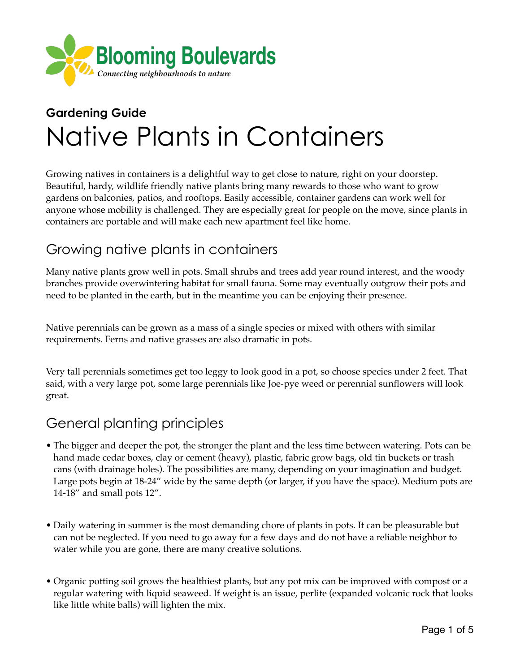

# **Gardening Guide**  Native Plants in Containers

Growing natives in containers is a delightful way to get close to nature, right on your doorstep. Beautiful, hardy, wildlife friendly native plants bring many rewards to those who want to grow gardens on balconies, patios, and rooftops. Easily accessible, container gardens can work well for anyone whose mobility is challenged. They are especially great for people on the move, since plants in containers are portable and will make each new apartment feel like home.

# Growing native plants in containers

Many native plants grow well in pots. Small shrubs and trees add year round interest, and the woody branches provide overwintering habitat for small fauna. Some may eventually outgrow their pots and need to be planted in the earth, but in the meantime you can be enjoying their presence.

Native perennials can be grown as a mass of a single species or mixed with others with similar requirements. Ferns and native grasses are also dramatic in pots.

Very tall perennials sometimes get too leggy to look good in a pot, so choose species under 2 feet. That said, with a very large pot, some large perennials like Joe-pye weed or perennial sunflowers will look great.

# General planting principles

- The bigger and deeper the pot, the stronger the plant and the less time between watering. Pots can be hand made cedar boxes, clay or cement (heavy), plastic, fabric grow bags, old tin buckets or trash cans (with drainage holes). The possibilities are many, depending on your imagination and budget. Large pots begin at 18-24" wide by the same depth (or larger, if you have the space). Medium pots are 14-18" and small pots 12".
- Daily watering in summer is the most demanding chore of plants in pots. It can be pleasurable but can not be neglected. If you need to go away for a few days and do not have a reliable neighbor to water while you are gone, there are many creative solutions.
- Organic potting soil grows the healthiest plants, but any pot mix can be improved with compost or a regular watering with liquid seaweed. If weight is an issue, perlite (expanded volcanic rock that looks like little white balls) will lighten the mix.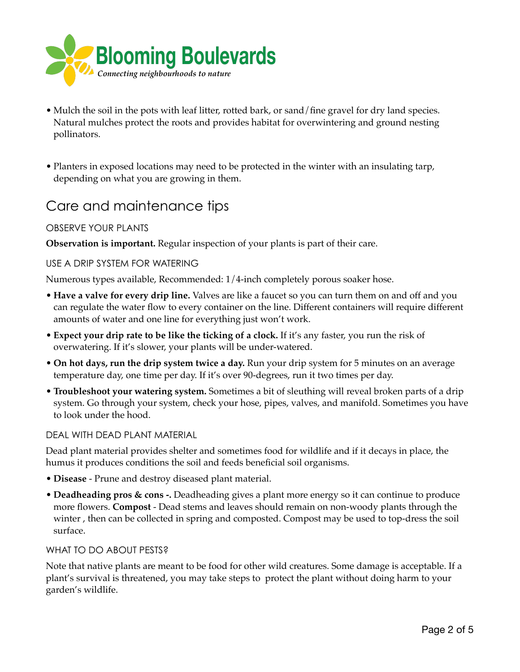

- Mulch the soil in the pots with leaf litter, rotted bark, or sand/fine gravel for dry land species. Natural mulches protect the roots and provides habitat for overwintering and ground nesting pollinators.
- Planters in exposed locations may need to be protected in the winter with an insulating tarp, depending on what you are growing in them.

### Care and maintenance tips

#### OBSERVE YOUR PLANTS

**Observation is important.** Regular inspection of your plants is part of their care.

#### USE A DRIP SYSTEM FOR WATERING

Numerous types available, Recommended: 1/4-inch completely porous soaker hose.

- **Have a valve for every drip line.** Valves are like a faucet so you can turn them on and off and you can regulate the water flow to every container on the line. Different containers will require different amounts of water and one line for everything just won't work.
- **Expect your drip rate to be like the ticking of a clock.** If it's any faster, you run the risk of overwatering. If it's slower, your plants will be under-watered.
- **On hot days, run the drip system twice a day.** Run your drip system for 5 minutes on an average temperature day, one time per day. If it's over 90-degrees, run it two times per day.
- **Troubleshoot your watering system.** Sometimes a bit of sleuthing will reveal broken parts of a drip system. Go through your system, check your hose, pipes, valves, and manifold. Sometimes you have to look under the hood.

#### DEAL WITH DEAD PLANT MATERIAL

Dead plant material provides shelter and sometimes food for wildlife and if it decays in place, the humus it produces conditions the soil and feeds beneficial soil organisms.

- **Disease** Prune and destroy diseased plant material.
- **Deadheading pros & cons -.** Deadheading gives a plant more energy so it can continue to produce more flowers. **Compost** - Dead stems and leaves should remain on non-woody plants through the winter , then can be collected in spring and composted. Compost may be used to top-dress the soil surface.

#### WHAT TO DO ABOUT PESTS?

Note that native plants are meant to be food for other wild creatures. Some damage is acceptable. If a plant's survival is threatened, you may take steps to protect the plant without doing harm to your garden's wildlife.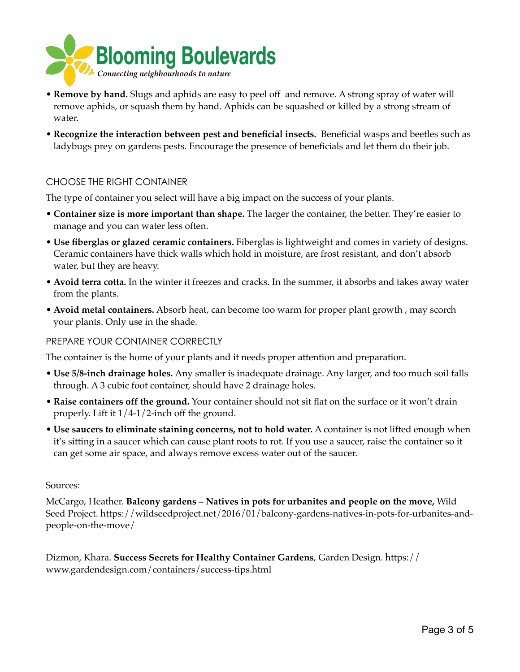

- **Remove by hand.** Slugs and aphids are easy to peel off and remove. A strong spray of water will remove aphids, or squash them by hand. Aphids can be squashed or killed by a strong stream of water.
- **Recognize the interaction between pest and beneficial insects.** Beneficial wasps and beetles such as ladybugs prey on gardens pests. Encourage the presence of beneficials and let them do their job.

#### CHOOSE THE RIGHT CONTAINER

The type of container you select will have a big impact on the success of your plants.

- **Container size is more important than shape.** The larger the container, the better. They're easier to manage and you can water less often.
- **Use fiberglas or glazed ceramic containers.** Fiberglas is lightweight and comes in variety of designs. Ceramic containers have thick walls which hold in moisture, are frost resistant, and don't absorb water, but they are heavy.
- **Avoid terra cotta.** In the winter it freezes and cracks. In the summer, it absorbs and takes away water from the plants.
- **Avoid metal containers.** Absorb heat, can become too warm for proper plant growth , may scorch your plants. Only use in the shade.

#### PREPARE YOUR CONTAINER CORRECTLY

The container is the home of your plants and it needs proper attention and preparation.

- **Use 5/8-inch drainage holes.** Any smaller is inadequate drainage. Any larger, and too much soil falls through. A 3 cubic foot container, should have 2 drainage holes.
- **Raise containers off the ground.** Your container should not sit flat on the surface or it won't drain properly. Lift it 1/4-1/2-inch off the ground.
- **Use saucers to eliminate staining concerns, not to hold water.** A container is not lifted enough when it's sitting in a saucer which can cause plant roots to rot. If you use a saucer, raise the container so it can get some air space, and always remove excess water out of the saucer.

#### Sources:

McCargo, Heather. **Balcony gardens – Natives in pots for urbanites and people on the move,** Wild Seed Project. https://wildseedproject.net/2016/01/balcony-gardens-natives-in-pots-for-urbanites-andpeople-on-the-move/

Dizmon, Khara. **Success Secrets for Healthy Container Gardens**, Garden Design. https:// www.gardendesign.com/containers/success-tips.html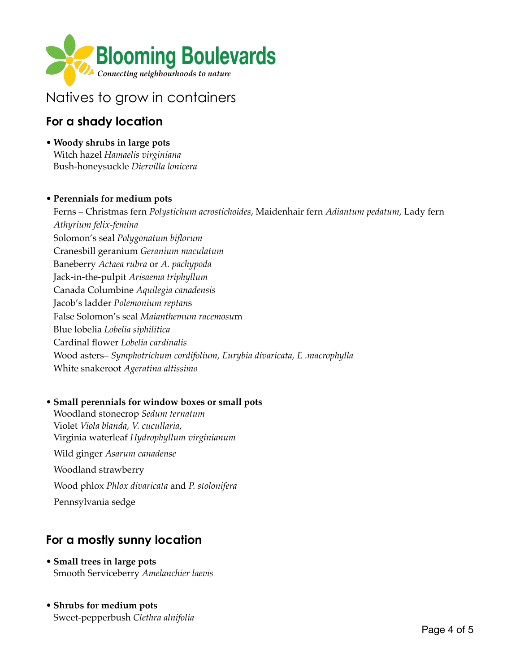

# Natives to grow in containers

### **For a shady location**

• **Woody shrubs in large pots**  Witch hazel *Hamaelis virginiana*  Bush-honeysuckle *Diervilla lonicera*

#### • **Perennials for medium pots**

Ferns – Christmas fern *Polystichum acrostichoides*, Maidenhair fern *Adiantum pedatum*, Lady fern *Athyrium felix-femina* Solomon's seal *Polygonatum biflorum* Cranesbill geranium *Geranium maculatum* Baneberry *Actaea rubra* or *A. pachypoda* Jack-in-the-pulpit *Arisaema triphyllum* Canada Columbine *Aquilegia canadensis*  Jacob's ladder *Polemonium reptan*s False Solomon's seal *Maianthemum racemosu*m Blue lobelia *Lobelia siphilitica* Cardinal flower *Lobelia cardinalis* Wood asters– *Symphotrichum cordifolium, Eurybia divaricata, E .macrophylla* White snakeroot *Ageratina altissimo*

#### • **Small perennials for window boxes or small pots**

Woodland stonecrop *Sedum ternatum*  Violet *Viola blanda, V. cucullaria*, Virginia waterleaf *Hydrophyllum virginianum* Wild ginger *Asarum canadense* Woodland strawberry Wood phlox *Phlox divaricata* and *P. stolonifera* Pennsylvania sedge

### **For a mostly sunny location**

- **Small trees in large pots**  Smooth Serviceberry *Amelanchier laevis*
- **Shrubs for medium pots** Sweet-pepperbush *Clethra alnifolia*